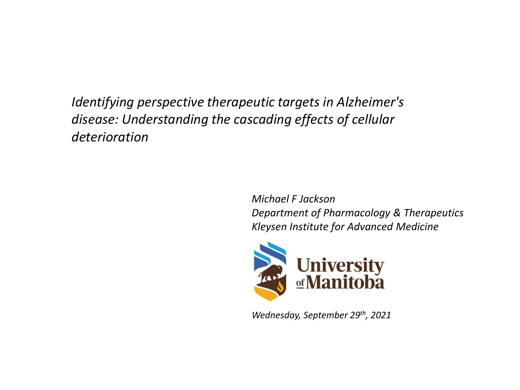*Identifying perspective therapeutic targets in Alzheimer's disease: Understanding the cascading effects of cellular deterioration*

> *Michael F Jackson Department of Pharmacology & Therapeutics Kleysen Institute for Advanced Medicine*



*Wednesday, September 29th, 2021*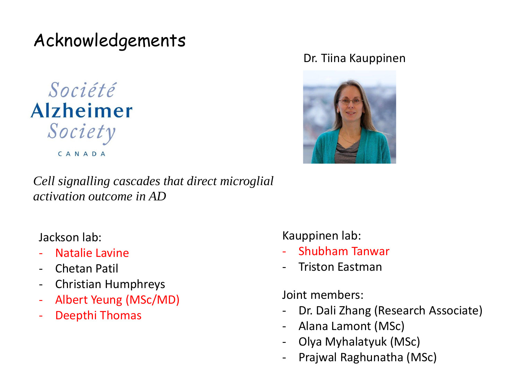Acknowledgements

Société **Alzheimer** Society CANADA

#### Dr. Tiina Kauppinen



*Cell signalling cascades that direct microglial activation outcome in AD*

Jackson lab:

- Natalie Lavine
- Chetan Patil
- Christian Humphreys
- Albert Yeung (MSc/MD)
- Deepthi Thomas

Kauppinen lab:

- Shubham Tanwar
- Triston Eastman

Joint members:

- Dr. Dali Zhang (Research Associate)
- Alana Lamont (MSc)
- Olya Myhalatyuk (MSc)
- Prajwal Raghunatha (MSc)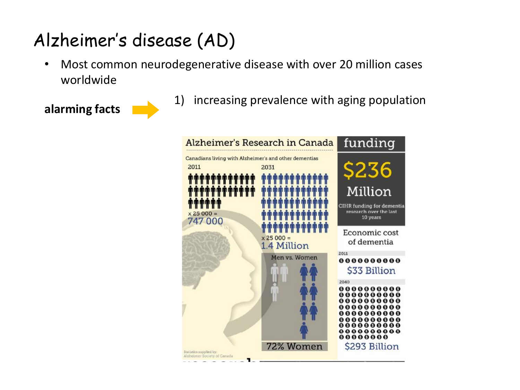## Alzheimer's disease (AD)

• Most common neurodegenerative disease with over 20 million cases worldwide



**alarming facts** 1) increasing prevalence with aging population

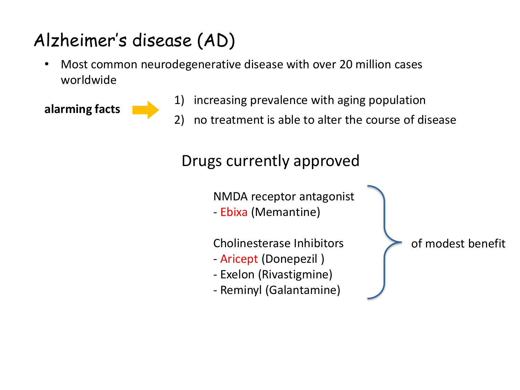# Alzheimer's disease (AD)

• Most common neurodegenerative disease with over 20 million cases worldwide



- **alarming facts** 1) increasing prevalence with aging population<br>2) no treatment is able to alter the course of di
	- 2) no treatment is able to alter the course of disease

Drugs currently approved

NMDA receptor antagonist

- Ebixa (Memantine)

Cholinesterase Inhibitors

- Aricept (Donepezil )
- Exelon (Rivastigmine)
- Reminyl (Galantamine)

of modest benefit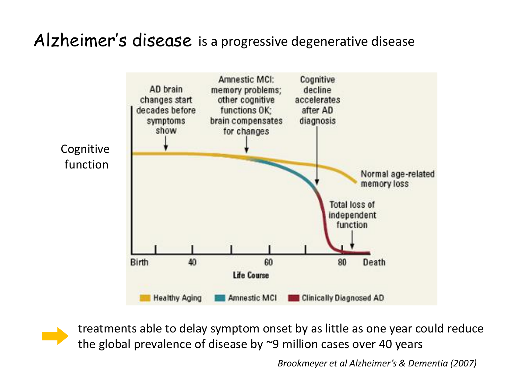#### Alzheimer's disease is a progressive degenerative disease



treatments able to delay symptom onset by as little as one year could reduce the global prevalence of disease by ~9 million cases over 40 years

*Brookmeyer et al Alzheimer's & Dementia (2007)*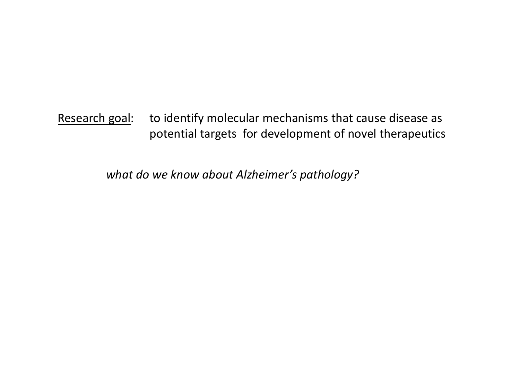Research goal: to identify molecular mechanisms that cause disease as potential targets for development of novel therapeutics

*what do we know about Alzheimer's pathology?*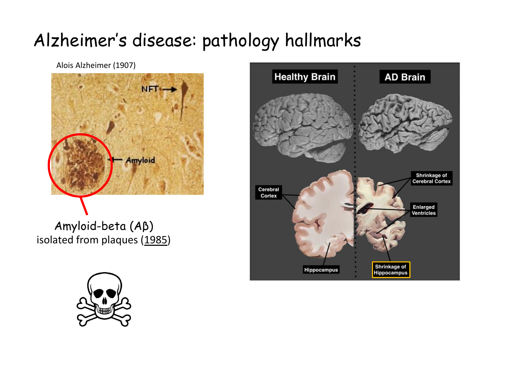## Alzheimer's disease: pathology hallmarks

Alois Alzheimer (1907)



isolated from plaques (1985)



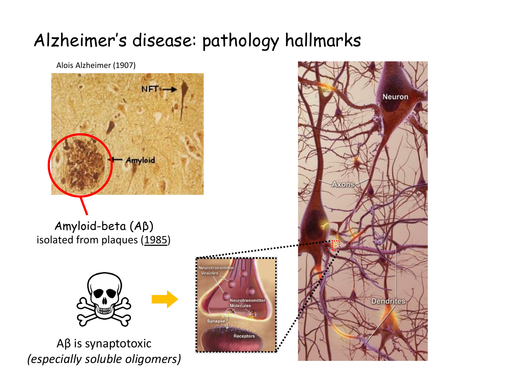## Alzheimer's disease: pathology hallmarks

**Synapi** 

Alois Alzheimer (1907) NFT<sub>\*</sub> **Amyloid** Amyloid-beta (Aβ)

isolated from plaques (1985)

Aβ is synaptotoxic *(especially soluble oligomers)*

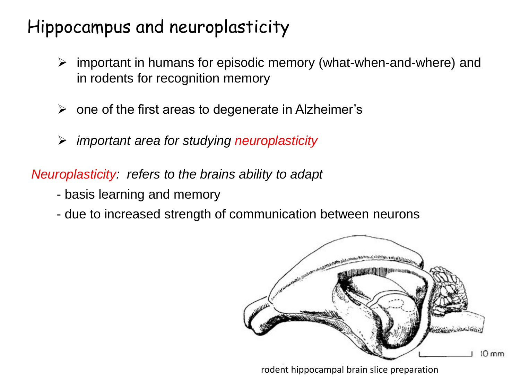## Hippocampus and neuroplasticity

- ➢ important in humans for episodic memory (what-when-and-where) and in rodents for recognition memory
- $\triangleright$  one of the first areas to degenerate in Alzheimer's
- ➢ *important area for studying neuroplasticity*

*Neuroplasticity: refers to the brains ability to adapt*

- basis learning and memory
- due to increased strength of communication between neurons



rodent hippocampal brain slice preparation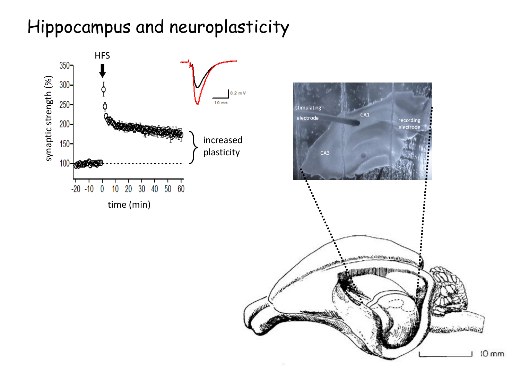## Hippocampus and neuroplasticity

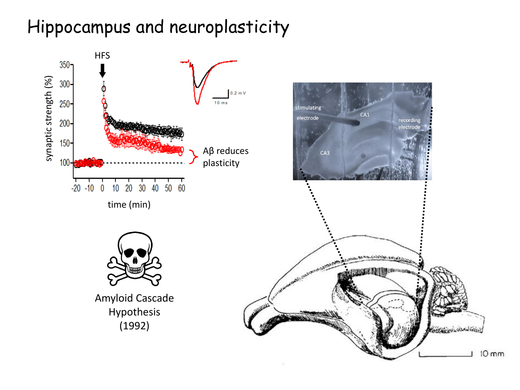## Hippocampus and neuroplasticity

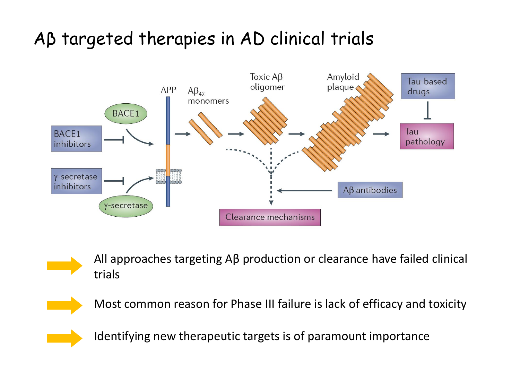## Aβ targeted therapies in AD clinical trials





All approaches targeting Aβ production or clearance have failed clinical trials



Most common reason for Phase III failure is lack of efficacy and toxicity



Identifying new therapeutic targets is of paramount importance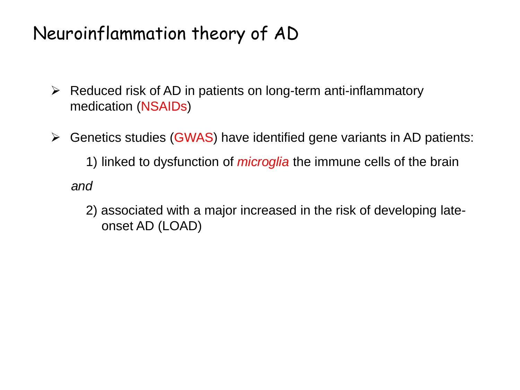### Neuroinflammation theory of AD

- ➢ Reduced risk of AD in patients on long-term anti-inflammatory medication (NSAIDs)
- ➢ Genetics studies (GWAS) have identified gene variants in AD patients:

1) linked to dysfunction of *microglia* the immune cells of the brain

*and* 

2) associated with a major increased in the risk of developing lateonset AD (LOAD)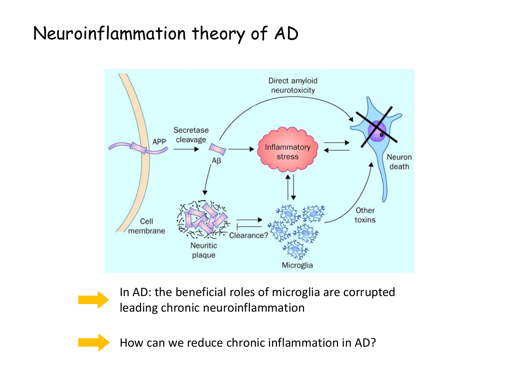## Neuroinflammation theory of AD



In AD: the beneficial roles of microglia are corrupted leading chronic neuroinflammation

How can we reduce chronic inflammation in AD?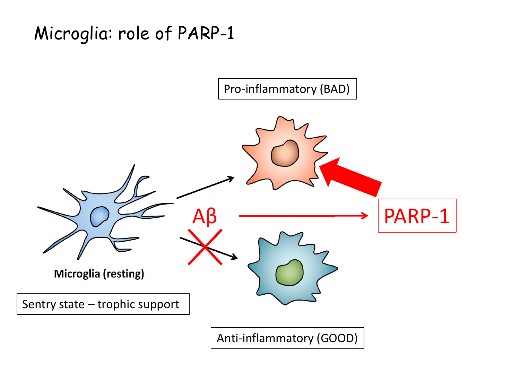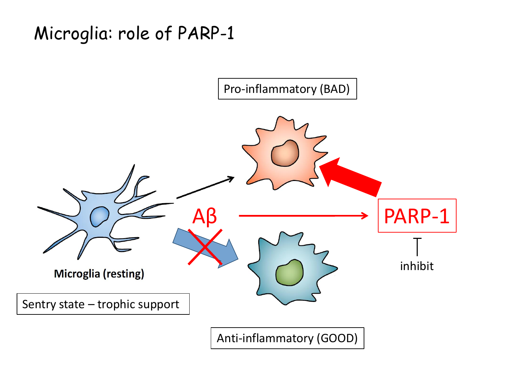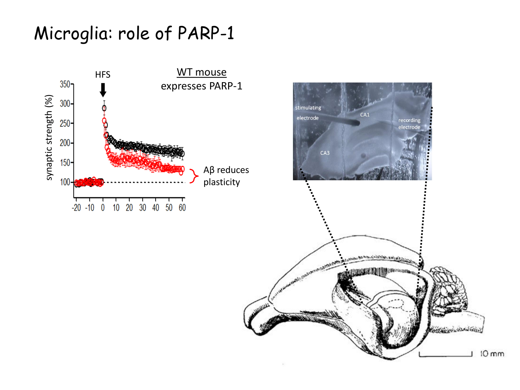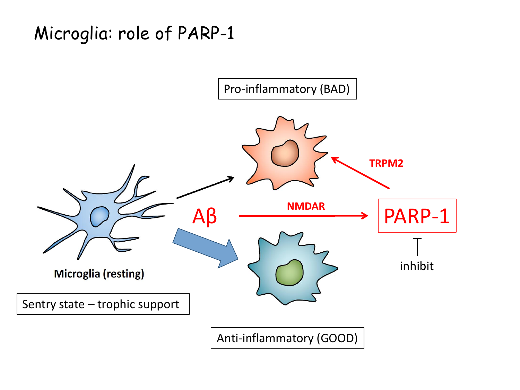

Anti-inflammatory (GOOD)